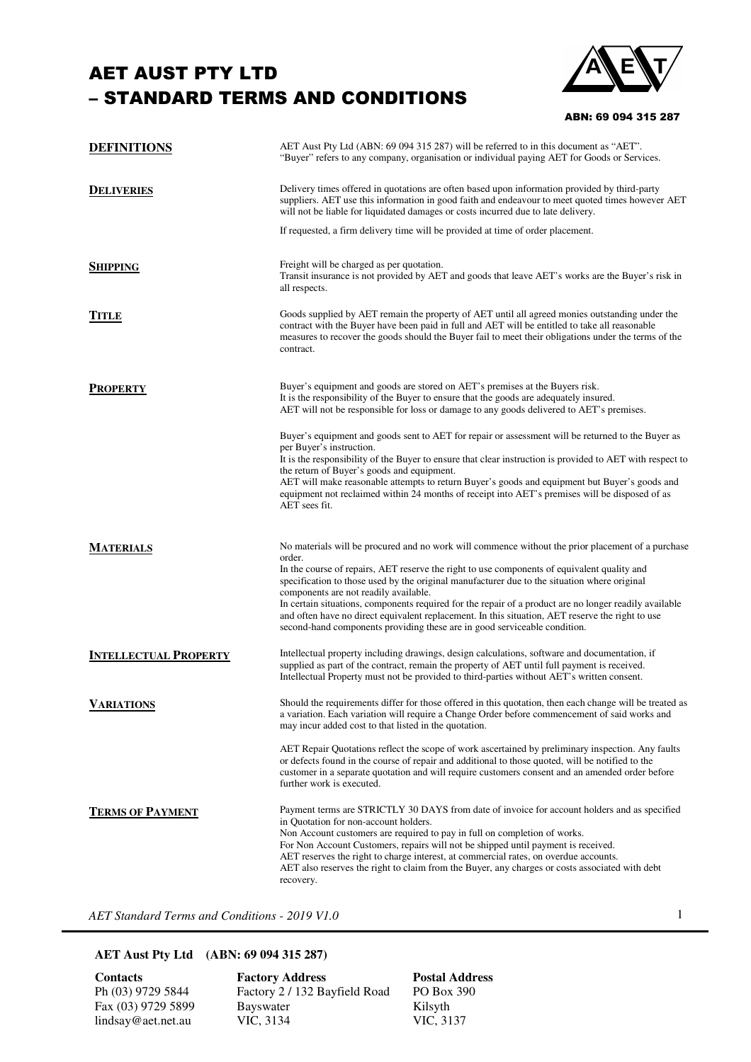## AET AUST PTY LTD – STANDARD TERMS AND CONDITIONS



ABN: 69 094 315 287

| <b>DEFINITIONS</b>           | AET Aust Pty Ltd (ABN: 69 094 315 287) will be referred to in this document as "AET".<br>"Buyer" refers to any company, organisation or individual paying AET for Goods or Services.                                                                                                                                                                                                                                                                                                                                                                                                                                                           |
|------------------------------|------------------------------------------------------------------------------------------------------------------------------------------------------------------------------------------------------------------------------------------------------------------------------------------------------------------------------------------------------------------------------------------------------------------------------------------------------------------------------------------------------------------------------------------------------------------------------------------------------------------------------------------------|
| <b>DELIVERIES</b>            | Delivery times offered in quotations are often based upon information provided by third-party<br>suppliers. AET use this information in good faith and endeavour to meet quoted times however AET<br>will not be liable for liquidated damages or costs incurred due to late delivery.                                                                                                                                                                                                                                                                                                                                                         |
|                              | If requested, a firm delivery time will be provided at time of order placement.                                                                                                                                                                                                                                                                                                                                                                                                                                                                                                                                                                |
| <b>SHIPPING</b>              | Freight will be charged as per quotation.<br>Transit insurance is not provided by AET and goods that leave AET's works are the Buyer's risk in<br>all respects.                                                                                                                                                                                                                                                                                                                                                                                                                                                                                |
| Title                        | Goods supplied by AET remain the property of AET until all agreed monies outstanding under the<br>contract with the Buyer have been paid in full and AET will be entitled to take all reasonable<br>measures to recover the goods should the Buyer fail to meet their obligations under the terms of the<br>contract.                                                                                                                                                                                                                                                                                                                          |
| <b>PROPERTY</b>              | Buyer's equipment and goods are stored on AET's premises at the Buyers risk.<br>It is the responsibility of the Buyer to ensure that the goods are adequately insured.<br>AET will not be responsible for loss or damage to any goods delivered to AET's premises.                                                                                                                                                                                                                                                                                                                                                                             |
|                              | Buyer's equipment and goods sent to AET for repair or assessment will be returned to the Buyer as<br>per Buyer's instruction.<br>It is the responsibility of the Buyer to ensure that clear instruction is provided to AET with respect to<br>the return of Buyer's goods and equipment.<br>AET will make reasonable attempts to return Buyer's goods and equipment but Buyer's goods and<br>equipment not reclaimed within 24 months of receipt into AET's premises will be disposed of as<br>AET sees fit.                                                                                                                                   |
| <b>MATERIALS</b>             | No materials will be procured and no work will commence without the prior placement of a purchase<br>order.<br>In the course of repairs, AET reserve the right to use components of equivalent quality and<br>specification to those used by the original manufacturer due to the situation where original<br>components are not readily available.<br>In certain situations, components required for the repair of a product are no longer readily available<br>and often have no direct equivalent replacement. In this situation, AET reserve the right to use<br>second-hand components providing these are in good serviceable condition. |
| <b>INTELLECTUAL PROPERTY</b> | Intellectual property including drawings, design calculations, software and documentation, if<br>supplied as part of the contract, remain the property of AET until full payment is received.<br>Intellectual Property must not be provided to third-parties without AET's written consent.                                                                                                                                                                                                                                                                                                                                                    |
| <b>VARIATIONS</b>            | Should the requirements differ for those offered in this quotation, then each change will be treated as<br>a variation. Each variation will require a Change Order before commencement of said works and<br>may incur added cost to that listed in the quotation.                                                                                                                                                                                                                                                                                                                                                                              |
|                              | AET Repair Quotations reflect the scope of work ascertained by preliminary inspection. Any faults<br>or defects found in the course of repair and additional to those quoted, will be notified to the<br>customer in a separate quotation and will require customers consent and an amended order before<br>further work is executed.                                                                                                                                                                                                                                                                                                          |
| <b>TERMS OF PAYMENT</b>      | Payment terms are STRICTLY 30 DAYS from date of invoice for account holders and as specified<br>in Quotation for non-account holders.<br>Non Account customers are required to pay in full on completion of works.<br>For Non Account Customers, repairs will not be shipped until payment is received.<br>AET reserves the right to charge interest, at commercial rates, on overdue accounts.<br>AET also reserves the right to claim from the Buyer, any charges or costs associated with debt<br>recovery.                                                                                                                                 |

*AET Standard Terms and Conditions - 2019 V1.0* 

## **AET Aust Pty Ltd (ABN: 69 094 315 287)**

lindsay@aet.net.au

**Contacts** Factory Address Postal Address<br>Ph (03) 9729 5844 Factory 2 / 132 Bayfield Road PO Box 390 Pactory 2 / 132 Bayfield Road PO Box<br>Bayswater Kilsyth Fax (03) 9729 5899 Bayswater Kilsyth<br>
lindsay@aet.net.au VIC, 3134 VIC, 3137